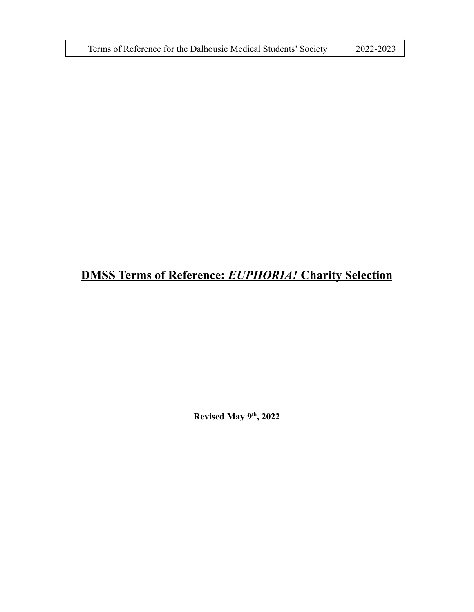| Terms of Reference for the Dalhousie Medical Students' Society | $2022 - 2023$ |
|----------------------------------------------------------------|---------------|
|----------------------------------------------------------------|---------------|

# **DMSS Terms of Reference:** *EUPHORIA!* **Charity Selection**

**Revised May 9th , 2022**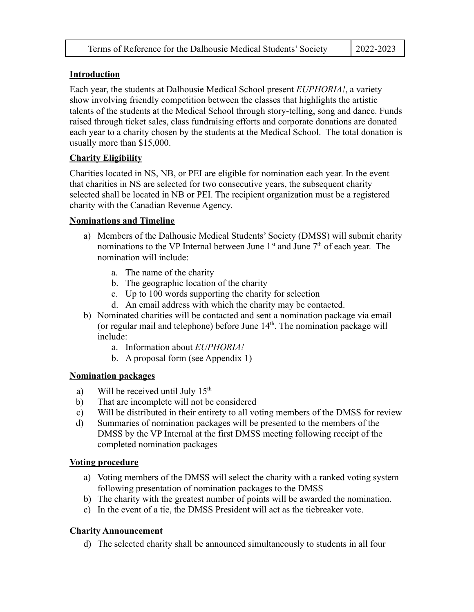| Terms of Reference for the Dalhousie Medical Students' Society | $\mid$ 2022-2023 |
|----------------------------------------------------------------|------------------|
|----------------------------------------------------------------|------------------|

### **Introduction**

Each year, the students at Dalhousie Medical School present *EUPHORIA!*, a variety show involving friendly competition between the classes that highlights the artistic talents of the students at the Medical School through story-telling, song and dance. Funds raised through ticket sales, class fundraising efforts and corporate donations are donated each year to a charity chosen by the students at the Medical School. The total donation is usually more than \$15,000.

## **Charity Eligibility**

Charities located in NS, NB, or PEI are eligible for nomination each year. In the event that charities in NS are selected for two consecutive years, the subsequent charity selected shall be located in NB or PEI. The recipient organization must be a registered charity with the Canadian Revenue Agency.

#### **Nominations and Timeline**

- a) Members of the Dalhousie Medical Students' Society (DMSS) will submit charity nominations to the VP Internal between June  $1<sup>st</sup>$  and June  $7<sup>th</sup>$  of each year. The nomination will include:
	- a. The name of the charity
	- b. The geographic location of the charity
	- c. Up to 100 words supporting the charity for selection
	- d. An email address with which the charity may be contacted.
- b) Nominated charities will be contacted and sent a nomination package via email (or regular mail and telephone) before June  $14<sup>th</sup>$ . The nomination package will include:
	- a. Information about *EUPHORIA!*
	- b. A proposal form (see Appendix 1)

#### **Nomination packages**

- a) Will be received until July  $15<sup>th</sup>$
- b) That are incomplete will not be considered
- c) Will be distributed in their entirety to all voting members of the DMSS for review
- d) Summaries of nomination packages will be presented to the members of the DMSS by the VP Internal at the first DMSS meeting following receipt of the completed nomination packages

#### **Voting procedure**

- a) Voting members of the DMSS will select the charity with a ranked voting system following presentation of nomination packages to the DMSS
- b) The charity with the greatest number of points will be awarded the nomination.
- c) In the event of a tie, the DMSS President will act as the tiebreaker vote.

## **Charity Announcement**

d) The selected charity shall be announced simultaneously to students in all four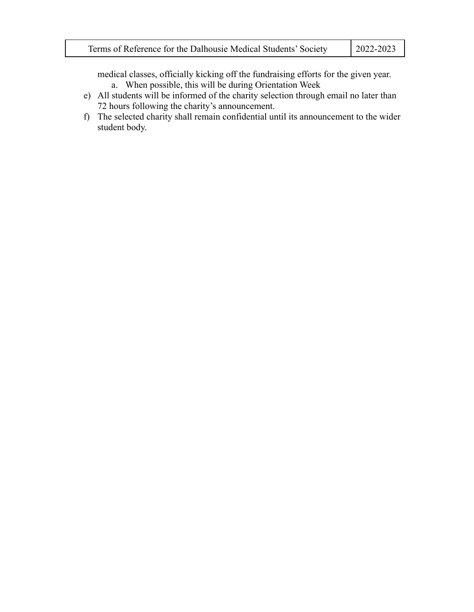| $12022 - 2023$<br>Terms of Reference for the Dalhousie Medical Students' Society |
|----------------------------------------------------------------------------------|
|----------------------------------------------------------------------------------|

medical classes, officially kicking off the fundraising efforts for the given year. a. When possible, this will be during Orientation Week

- e) All students will be informed of the charity selection through email no later than 72 hours following the charity's announcement.
- f) The selected charity shall remain confidential until its announcement to the wider student body.